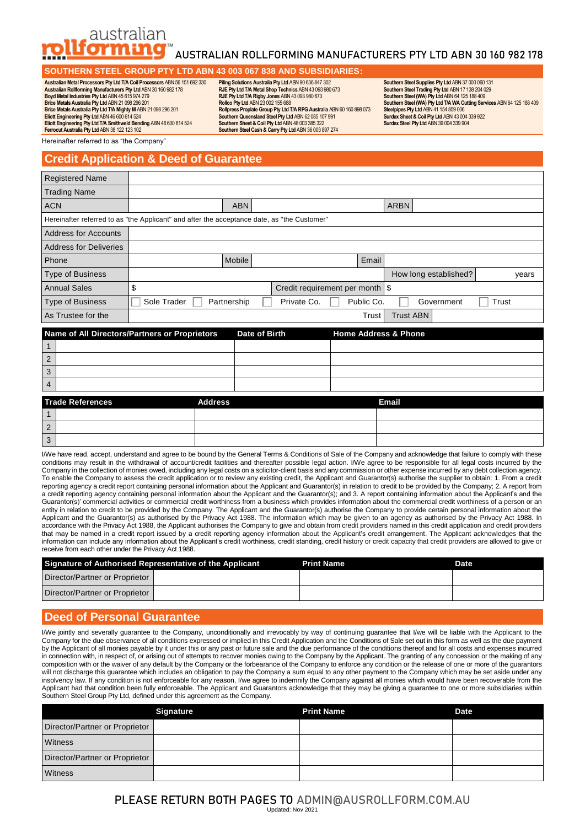

# AUSTRALIAN ROLLFORMING MANUFACTURERS PTY LTD ABN 30 160 982 178

### **SOUTHERN STEEL GROUP PTY LTD ABN 43 003 067 838 AND SUBSIDIARIES:**

**Australian Metal Processors Pty Ltd T/A Coil Processors** ABN 56 151 692 330 **Australian Rollforming Manufacturers Pty Ltd** ABN 30 160 982 178 **Boyd Metal Industries Pty Ltd** ABN 45 615 974 279 **Brice Metals Australia Pty Ltd** ABN 21 098 296 201 **Brice Metals Australia Pty Ltd T/A Mighty M** ABN 21 098 296 201 **Eliott Engineering Pty Ltd** ABN 46 600 614 524 **Eliott Engineering Pty Ltd T/A Smithweld Bending** ABN 46 600 614 524 **Ferrocut Australia Pty Ltd** ABN 38 122 123 102

**Piling Solutions Australia Pty Ltd** ABN 90 636 847 302 **RJE Pty Ltd T/A Metal Shop Technics** ABN 43 093 980 673 **RJE Pty Ltd T/A Rigby Jones** ABN 43 093 980 673 **Rollco Pty Ltd** ABN 23 002 155 688 Rollpress Proplate Group Pty Ltd T/A RPG Australia ABN 60 160 898 073<br>Southern Queensland Steel Pty Ltd ABN 62 085 107 991<br>Southern Sheet & Coil Pty Ltd ABN 48 003 385 322<br>Southern Steel Cash & Carry Pty Ltd ABN 36 003 897 **Southern Steel Supplies Pty Ltd** ABN 37 000 060 131 **Southern Steel Trading Pty Ltd** ABN 17 138 204 029 **Southern Steel (WA) Pty Ltd** ABN 64 125 188 409 **Southern Steel (WA) Pty Ltd T/A WA Cutting Services** ABN 64 125 188 409 **Steelpipes Pty Ltd** ABN 41 154 859 006 **Surdex Sheet & Coil Pty Ltd** ABN 43 004 339 922 **Surdex Steel Pty Ltd** ABN 39 004 339 904

Hereinafter referred to as "the Company"

## **Credit Application & Deed of Guarantee**

| <b>Registered Name</b>        |                                                                                             |            |               |  |            |                                 |  |  |  |
|-------------------------------|---------------------------------------------------------------------------------------------|------------|---------------|--|------------|---------------------------------|--|--|--|
| <b>Trading Name</b>           |                                                                                             |            |               |  |            |                                 |  |  |  |
| <b>ACN</b>                    |                                                                                             | <b>ABN</b> |               |  |            | <b>ARBN</b>                     |  |  |  |
|                               | Hereinafter referred to as "the Applicant" and after the acceptance date, as "the Customer" |            |               |  |            |                                 |  |  |  |
| <b>Address for Accounts</b>   |                                                                                             |            |               |  |            |                                 |  |  |  |
| <b>Address for Deliveries</b> |                                                                                             |            |               |  |            |                                 |  |  |  |
| Phone                         |                                                                                             | Mobile     |               |  | Email      |                                 |  |  |  |
| <b>Type of Business</b>       | How long established?                                                                       |            |               |  | years      |                                 |  |  |  |
| <b>Annual Sales</b>           | \$<br>Credit requirement per month \\$                                                      |            |               |  |            |                                 |  |  |  |
| <b>Type of Business</b>       | Public Co.<br>Sole Trader<br>Partnership<br>Private Co.                                     |            |               |  | Government | Trust                           |  |  |  |
| As Trustee for the            |                                                                                             |            |               |  | Trust      | <b>Trust ABN</b>                |  |  |  |
|                               | Name of All Directors/Partners or Proprietors                                               |            | Date of Birth |  |            | <b>Home Address &amp; Phone</b> |  |  |  |
|                               |                                                                                             |            |               |  |            |                                 |  |  |  |
| $\overline{2}$                |                                                                                             |            |               |  |            |                                 |  |  |  |
| 3                             |                                                                                             |            |               |  |            |                                 |  |  |  |
| 4                             |                                                                                             |            |               |  |            |                                 |  |  |  |
|                               |                                                                                             |            |               |  |            |                                 |  |  |  |

|   | <b>Trade References</b> | <b>Address</b> | <b>Email</b> |
|---|-------------------------|----------------|--------------|
|   |                         |                |              |
| 2 |                         |                |              |
| 3 |                         |                |              |
|   |                         |                |              |

I/We have read, accept, understand and agree to be bound by the General Terms & Conditions of Sale of the Company and acknowledge that failure to comply with these conditions may result in the withdrawal of account/credit facilities and thereafter possible legal action. I/We agree to be responsible for all legal costs incurred by the Company in the collection of monies owed, including any legal costs on a solicitor-client basis and any commission or other expense incurred by any debt collection agency. To enable the Company to assess the credit application or to review any existing credit, the Applicant and Guarantor(s) authorise the supplier to obtain: 1. From a credit reporting agency a credit report containing personal information about the Applicant and Guarantor(s) in relation to credit to be provided by the Company; 2. A report from a credit reporting agency containing personal information about the Applicant and the Guarantor(s); and 3. A report containing information about the Applicant's and the Guarantor(s)' commercial activities or commercial credit worthiness from a business which provides information about the commercial credit worthiness of a person or an entity in relation to credit to be provided by the Company. The Applicant and the Guarantor(s) authorise the Company to provide certain personal information about the Applicant and the Guarantor(s) as authorised by the Privacy Act 1988. The information which may be given to an agency as authorised by the Privacy Act 1988. In accordance with the Privacy Act 1988, the Applicant authorises the Company to give and obtain from credit providers named in this credit application and credit providers that may be named in a credit report issued by a credit reporting agency information about the Applicant's credit arrangement. The Applicant acknowledges that the information can include any information about the Applicant's credit worthiness, credit standing, credit history or credit capacity that credit providers are allowed to give or receive from each other under the Privacy Act 1988.

| Signature of Authorised Representative of the Applicant | <b>Print Name</b> | <b>Date</b> |
|---------------------------------------------------------|-------------------|-------------|
| Director/Partner or Proprietor                          |                   |             |
| Director/Partner or Proprietor                          |                   |             |

## **Deed of Personal Guarantee**

I/We jointly and severally guarantee to the Company, unconditionally and irrevocably by way of continuing guarantee that I/we will be liable with the Applicant to the Company for the due observance of all conditions expressed or implied in this Credit Application and the Conditions of Sale set out in this form as well as the due payment by the Applicant of all monies payable by it under this or any past or future sale and the due performance of the conditions thereof and for all costs and expenses incurred in connection with, in respect of, or arising out of attempts to recover monies owing to the Company by the Applicant. The granting of any concession or the making of any composition with or the waiver of any default by the Company or the forbearance of the Company to enforce any condition or the release of one or more of the guarantors will not discharge this guarantee which includes an obligation to pay the Company a sum equal to any other payment to the Company which may be set aside under any insolvency law. If any condition is not enforceable for any reason, I/we agree to indemnify the Company against all monies which would have been recoverable from the Applicant had that condition been fully enforceable. The Applicant and Guarantors acknowledge that they may be giving a guarantee to one or more subsidiaries within Southern Steel Group Pty Ltd, defined under this agreement as the Company.

|                                | <b>Signature</b> | <b>Print Name</b> | <b>Date</b> |
|--------------------------------|------------------|-------------------|-------------|
| Director/Partner or Proprietor |                  |                   |             |
| <b>Witness</b>                 |                  |                   |             |
| Director/Partner or Proprietor |                  |                   |             |
| <b>Witness</b>                 |                  |                   |             |